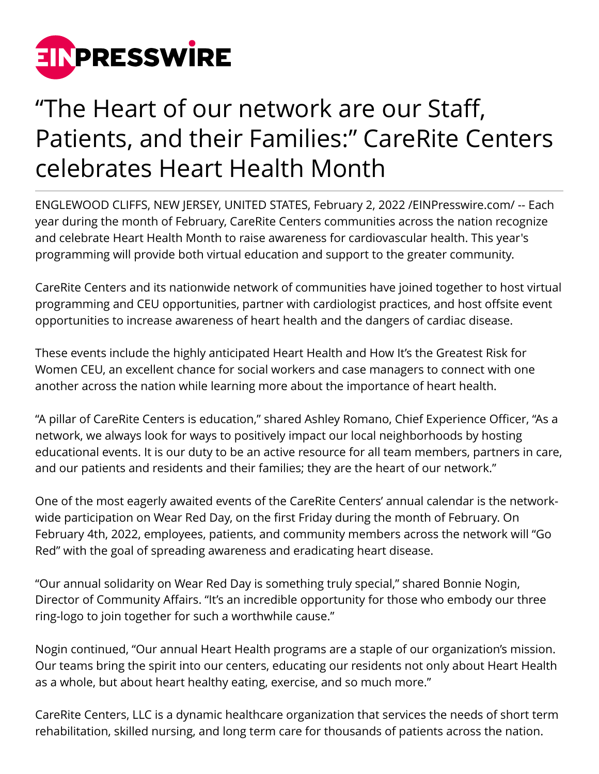

## "The Heart of our network are our Staff, Patients, and their Families:" CareRite Centers celebrates Heart Health Month

ENGLEWOOD CLIFFS, NEW JERSEY, UNITED STATES, February 2, 2022 /[EINPresswire.com](http://www.einpresswire.com)/ -- Each year during the month of February, CareRite Centers communities across the nation recognize and celebrate Heart Health Month to raise awareness for cardiovascular health. This year's programming will provide both virtual education and support to the greater community.

CareRite Centers and its nationwide network of communities have joined together to host virtual programming and CEU opportunities, partner with cardiologist practices, and host offsite event opportunities to increase awareness of heart health and the dangers of cardiac disease.

These events include the highly anticipated Heart Health and How It's the Greatest Risk for Women CEU, an excellent chance for social workers and case managers to connect with one another across the nation while learning more about the importance of heart health.

"A pillar of CareRite Centers is education," shared Ashley Romano, Chief Experience Officer, "As a network, we always look for ways to positively impact our local neighborhoods by hosting educational events. It is our duty to be an active resource for all team members, partners in care, and our patients and residents and their families; they are the heart of our network."

One of the most eagerly awaited events of the CareRite Centers' annual calendar is the networkwide participation on Wear Red Day, on the first Friday during the month of February. On February 4th, 2022, employees, patients, and community members across the network will "Go Red" with the goal of spreading awareness and eradicating heart disease.

"Our annual solidarity on Wear Red Day is something truly special," shared Bonnie Nogin, Director of Community Affairs. "It's an incredible opportunity for those who embody our three ring-logo to join together for such a worthwhile cause."

Nogin continued, "Our annual Heart Health programs are a staple of our organization's mission. Our teams bring the spirit into our centers, educating our residents not only about Heart Health as a whole, but about heart healthy eating, exercise, and so much more."

CareRite Centers, LLC is a dynamic healthcare organization that services the needs of short term rehabilitation, skilled nursing, and long term care for thousands of patients across the nation.